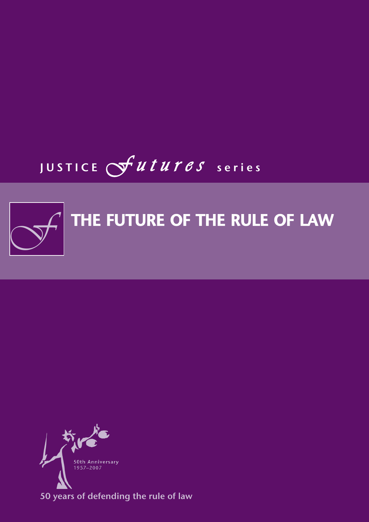# JUSTICE *F u t u r e s* series



# THE FUTURE OF THE RULE OF LAW



50 years of defending the rule of law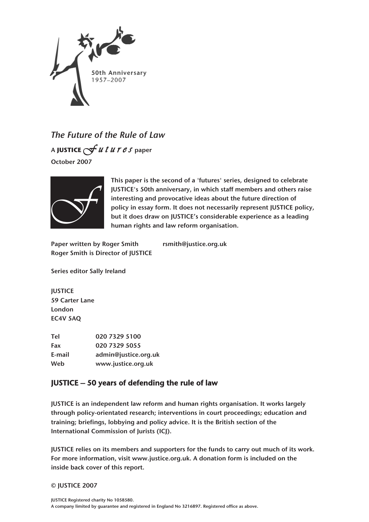

*The Future of the Rule of Law* <sup>A</sup>**JUSTICE** *F u t u r e s* paper October 2007



This paper is the second of a 'futures' series, designed to celebrate JUSTICE's 50th anniversary, in which staff members and others raise interesting and provocative ideas about the future direction of policy in essay form. It does not necessarily represent JUSTICE policy, but it does draw on JUSTICE's considerable experience as a leading human rights and law reform organisation.

Paper written by Roger Smith rsmith@justice.org.uk Roger Smith is Director of JUSTICE

Series editor Sally Ireland

**IUSTICE** 59 Carter Lane London EC4V 5AQ

Tel 020 7329 5100 Fax 020 7329 5055 E-mail admin@justice.org.uk Web www.justice.org.uk

### JUSTICE – 50 years of defending the rule of law

JUSTICE is an independent law reform and human rights organisation. It works largely through policy-orientated research; interventions in court proceedings; education and training; briefings, lobbying and policy advice. It is the British section of the International Commission of Jurists (ICJ).

JUSTICE relies on its members and supporters for the funds to carry out much of its work. For more information, visit www.justice.org.uk. A donation form is included on the inside back cover of this report.

© JUSTICE 2007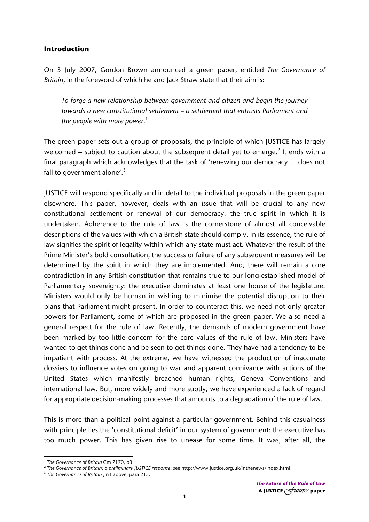### **Introduction**

On 3 July 2007, Gordon Brown announced a green paper, entitled *The Governance of Britain*, in the foreword of which he and Jack Straw state that their aim is:

*To forge a new relationship between government and citizen and begin the journey towards a new constitutional settlement – a settlement that entrusts Parliament and the people with more power.*<sup>1</sup>

The green paper sets out a group of proposals, the principle of which JUSTICE has largely welcomed – subject to caution about the subsequent detail yet to emerge.<sup>2</sup> It ends with a final paragraph which acknowledges that the task of 'renewing our democracy … does not fall to government alone'. $3$ 

JUSTICE will respond specifically and in detail to the individual proposals in the green paper elsewhere. This paper, however, deals with an issue that will be crucial to any new constitutional settlement or renewal of our democracy: the true spirit in which it is undertaken. Adherence to the rule of law is the cornerstone of almost all conceivable descriptions of the values with which a British state should comply. In its essence, the rule of law signifies the spirit of legality within which any state must act. Whatever the result of the Prime Minister's bold consultation, the success or failure of any subsequent measures will be determined by the spirit in which they are implemented. And, there will remain a core contradiction in any British constitution that remains true to our long-established model of Parliamentary sovereignty: the executive dominates at least one house of the legislature. Ministers would only be human in wishing to minimise the potential disruption to their plans that Parliament might present. In order to counteract this, we need not only greater powers for Parliament, some of which are proposed in the green paper. We also need a general respect for the rule of law. Recently, the demands of modern government have been marked by too little concern for the core values of the rule of law. Ministers have wanted to get things done and be seen to get things done. They have had a tendency to be impatient with process. At the extreme, we have witnessed the production of inaccurate dossiers to influence votes on going to war and apparent connivance with actions of the United States which manifestly breached human rights, Geneva Conventions and international law. But, more widely and more subtly, we have experienced a lack of regard for appropriate decision-making processes that amounts to a degradation of the rule of law.

This is more than a political point against a particular government. Behind this casualness with principle lies the 'constitutional deficit' in our system of government: the executive has too much power. This has given rise to unease for some time. It was, after all, the

<sup>&</sup>lt;sup>1</sup> The Governance of Britain Cm 7170, p3.<br><sup>2</sup> The Governance of Britain; a preliminary JUSTICE response: see http://www.justice.org.uk/inthenews/index.html.<br><sup>3</sup> The Governance of Britain , n1 above, para 215.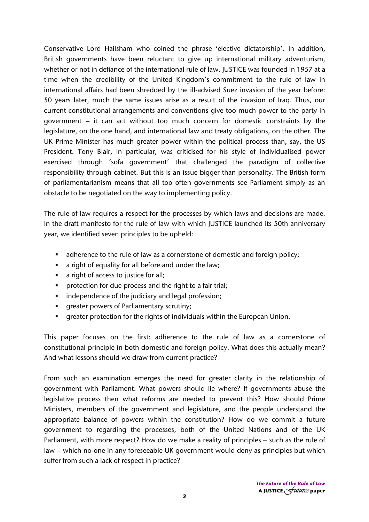Conservative Lord Hailsham who coined the phrase 'elective dictatorship'. In addition, British governments have been reluctant to give up international military adventurism, whether or not in defiance of the international rule of law. JUSTICE was founded in 1957 at a time when the credibility of the United Kingdom's commitment to the rule of law in international affairs had been shredded by the ill-advised Suez invasion of the year before: 50 years later, much the same issues arise as a result of the invasion of Iraq. Thus, our current constitutional arrangements and conventions give too much power to the party in government – it can act without too much concern for domestic constraints by the legislature, on the one hand, and international law and treaty obligations, on the other. The UK Prime Minister has much greater power within the political process than, say, the US President. Tony Blair, in particular, was criticised for his style of individualised power exercised through 'sofa government' that challenged the paradigm of collective responsibility through cabinet. But this is an issue bigger than personality. The British form of parliamentarianism means that all too often governments see Parliament simply as an obstacle to be negotiated on the way to implementing policy.

The rule of law requires a respect for the processes by which laws and decisions are made. In the draft manifesto for the rule of law with which JUSTICE launched its 50th anniversary year, we identified seven principles to be upheld:

- adherence to the rule of law as a cornerstone of domestic and foreign policy;
- a right of equality for all before and under the law;
- a right of access to justice for all:
- **Perofection for due process and the right to a fair trial;**
- **i** independence of the judiciary and legal profession;
- **F** greater powers of Parliamentary scrutiny;
- greater protection for the rights of individuals within the European Union.

This paper focuses on the first: adherence to the rule of law as a cornerstone of constitutional principle in both domestic and foreign policy. What does this actually mean? And what lessons should we draw from current practice?

From such an examination emerges the need for greater clarity in the relationship of government with Parliament. What powers should lie where? If governments abuse the legislative process then what reforms are needed to prevent this? How should Prime Ministers, members of the government and legislature, and the people understand the appropriate balance of powers within the constitution? How do we commit a future government to regarding the processes, both of the United Nations and of the UK Parliament, with more respect? How do we make a reality of principles – such as the rule of law – which no-one in any foreseeable UK government would deny as principles but which suffer from such a lack of respect in practice?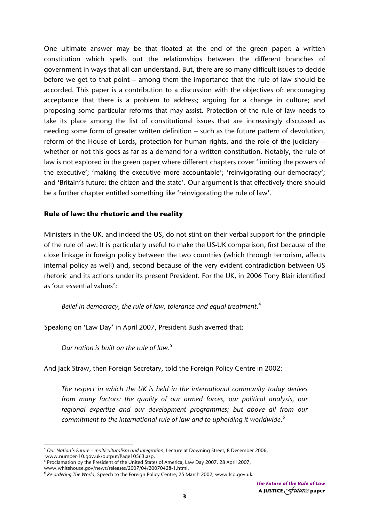One ultimate answer may be that floated at the end of the green paper: a written constitution which spells out the relationships between the different branches of government in ways that all can understand. But, there are so many difficult issues to decide before we get to that point – among them the importance that the rule of law should be accorded. This paper is a contribution to a discussion with the objectives of: encouraging acceptance that there is a problem to address; arguing for a change in culture; and proposing some particular reforms that may assist. Protection of the rule of law needs to take its place among the list of constitutional issues that are increasingly discussed as needing some form of greater written definition – such as the future pattern of devolution, reform of the House of Lords, protection for human rights, and the role of the judiciary – whether or not this goes as far as a demand for a written constitution. Notably, the rule of law is not explored in the green paper where different chapters cover 'limiting the powers of the executive'; 'making the executive more accountable'; 'reinvigorating our democracy'; and 'Britain's future: the citizen and the state'. Our argument is that effectively there should be a further chapter entitled something like 'reinvigorating the rule of law'.

### **Rule of law: the rhetoric and the reality**

Ministers in the UK, and indeed the US, do not stint on their verbal support for the principle of the rule of law. It is particularly useful to make the US-UK comparison, first because of the close linkage in foreign policy between the two countries (which through terrorism, affects internal policy as well) and, second because of the very evident contradiction between US rhetoric and its actions under its present President. For the UK, in 2006 Tony Blair identified as 'our essential values':

*Belief in democracy, the rule of law, tolerance and equal treatment*. 4

Speaking on 'Law Day' in April 2007, President Bush averred that:

*Our nation is built on the rule of law*. 5

And Jack Straw, then Foreign Secretary, told the Foreign Policy Centre in 2002:

*The respect in which the UK is held in the international community today derives from many factors: the quality of our armed forces, our political analysis, our regional expertise and our development programmes; but above all from our commitment to the international rule of law and to upholding it worldwide*. 6

<sup>4</sup> *Our Nation's Future – multiculturalism and integration*, Lecture at Downing Street, 8 December 2006,

www.number-10.gov.uk/output/Page10563.asp.

<sup>&</sup>lt;sup>5</sup> Proclamation by the President of the United States of America, Law Day 2007, 28 April 2007,

www.whitehouse.gov/news/releases/2007/04/20070428-1.html. 6 *Re-ordering The World*, Speech to the Foreign Policy Centre, 25 March 2002, www.fco.gov.uk.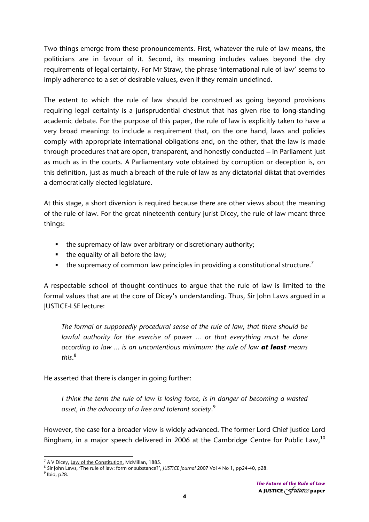Two things emerge from these pronouncements. First, whatever the rule of law means, the politicians are in favour of it. Second, its meaning includes values beyond the dry requirements of legal certainty. For Mr Straw, the phrase 'international rule of law' seems to imply adherence to a set of desirable values, even if they remain undefined.

The extent to which the rule of law should be construed as going beyond provisions requiring legal certainty is a jurisprudential chestnut that has given rise to long-standing academic debate. For the purpose of this paper, the rule of law is explicitly taken to have a very broad meaning: to include a requirement that, on the one hand, laws and policies comply with appropriate international obligations and, on the other, that the law is made through procedures that are open, transparent, and honestly conducted – in Parliament just as much as in the courts. A Parliamentary vote obtained by corruption or deception is, on this definition, just as much a breach of the rule of law as any dictatorial diktat that overrides a democratically elected legislature.

At this stage, a short diversion is required because there are other views about the meaning of the rule of law. For the great nineteenth century jurist Dicey, the rule of law meant three things:

- the supremacy of law over arbitrary or discretionary authority;
- $\blacksquare$  the equality of all before the law;
- the supremacy of common law principles in providing a constitutional structure.<sup>7</sup>

A respectable school of thought continues to argue that the rule of law is limited to the formal values that are at the core of Dicey's understanding. Thus, Sir John Laws argued in a JUSTICE-LSE lecture:

*The formal or supposedly procedural sense of the rule of law, that there should be lawful authority for the exercise of power … or that everything must be done according to law … is an uncontentious minimum: the rule of law at least means this*. 8

He asserted that there is danger in going further:

*I think the term the rule of law is losing force, is in danger of becoming a wasted asset, in the advocacy of a free and tolerant society*. 9

However, the case for a broader view is widely advanced. The former Lord Chief Justice Lord Bingham, in a major speech delivered in 2006 at the Cambridge Centre for Public Law,<sup>10</sup>

  $^7$  A V Dicey, <u>Law of the Constitution,</u> McMillan, 1885.<br><sup>8</sup> Sir John Laws, 'The rule of law: form or substance?'

<sup>&</sup>lt;sup>8</sup> Sir John Laws, 'The rule of law: form or substance?', *JUSTICE Journal* 2007 Vol 4 No 1, pp24-40, p28.

 $<sup>9</sup>$  Ibid, p28.</sup>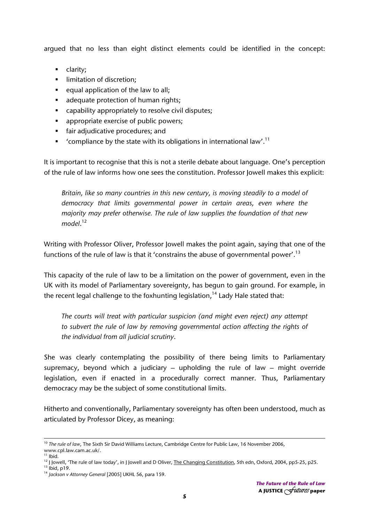argued that no less than eight distinct elements could be identified in the concept:

- **clarity**:
- **I** limitation of discretion;
- equal application of the law to all;
- adequate protection of human rights;
- capability appropriately to resolve civil disputes;
- **appropriate exercise of public powers;**
- **fair adjudicative procedures; and**
- Compliance by the state with its obligations in international law'.<sup>11</sup>

It is important to recognise that this is not a sterile debate about language. One's perception of the rule of law informs how one sees the constitution. Professor Jowell makes this explicit:

*Britain, like so many countries in this new century, is moving steadily to a model of democracy that limits governmental power in certain areas, even where the majority may prefer otherwise. The rule of law supplies the foundation of that new model*. 12

Writing with Professor Oliver, Professor Jowell makes the point again, saying that one of the functions of the rule of law is that it 'constrains the abuse of governmental power'.<sup>13</sup>

This capacity of the rule of law to be a limitation on the power of government, even in the UK with its model of Parliamentary sovereignty, has begun to gain ground. For example, in the recent legal challenge to the foxhunting legislation.<sup>14</sup> Lady Hale stated that:

*The courts will treat with particular suspicion (and might even reject) any attempt to subvert the rule of law by removing governmental action affecting the rights of the individual from all judicial scrutiny*.

She was clearly contemplating the possibility of there being limits to Parliamentary supremacy, beyond which a judiciary – upholding the rule of law – might override legislation, even if enacted in a procedurally correct manner. Thus, Parliamentary democracy may be the subject of some constitutional limits.

Hitherto and conventionally, Parliamentary sovereignty has often been understood, much as articulated by Professor Dicey, as meaning:

<sup>10</sup> *The rule of law*, The Sixth Sir David Williams Lecture, Cambridge Centre for Public Law, 16 November 2006, www.cpl.law.cam.ac.uk/.

 $11$  Ibid.

<sup>&</sup>lt;sup>12</sup> J Jowell, 'The rule of law today', in J Jowell and D Oliver, <u>The Changing Constitution</u>, 5th edn, Oxford, 2004, pp5-25, p25.<br><sup>13</sup> Ibid, p19.<br><sup>14</sup> *Jackson v Attorney General* [2005] UKHL 56, para 159.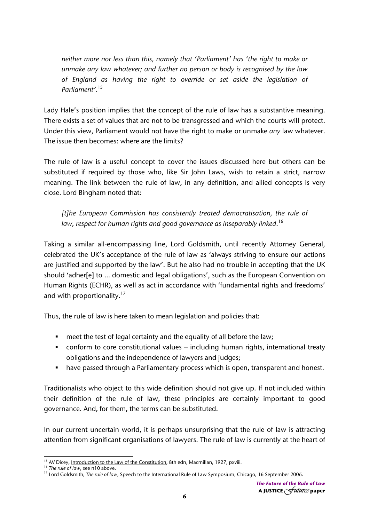*neither more nor less than this, namely that 'Parliament' has 'the right to make or unmake any law whatever; and further no person or body is recognised by the law of England as having the right to override or set aside the legislation of Parliament'*. 15

Lady Hale's position implies that the concept of the rule of law has a substantive meaning. There exists a set of values that are not to be transgressed and which the courts will protect. Under this view, Parliament would not have the right to make or unmake *any* law whatever. The issue then becomes: where are the limits?

The rule of law is a useful concept to cover the issues discussed here but others can be substituted if required by those who, like Sir John Laws, wish to retain a strict, narrow meaning. The link between the rule of law, in any definition, and allied concepts is very close. Lord Bingham noted that:

*[t]he European Commission has consistently treated democratisation, the rule of law, respect for human rights and good governance as inseparably linked*. 16

Taking a similar all-encompassing line, Lord Goldsmith, until recently Attorney General, celebrated the UK's acceptance of the rule of law as 'always striving to ensure our actions are justified and supported by the law'. But he also had no trouble in accepting that the UK should 'adher[e] to … domestic and legal obligations', such as the European Convention on Human Rights (ECHR), as well as act in accordance with 'fundamental rights and freedoms' and with proportionality.<sup>17</sup>

Thus, the rule of law is here taken to mean legislation and policies that:

- **number** meet the test of legal certainty and the equality of all before the law;
- conform to core constitutional values including human rights, international treaty obligations and the independence of lawyers and judges;
- have passed through a Parliamentary process which is open, transparent and honest.

Traditionalists who object to this wide definition should not give up. If not included within their definition of the rule of law, these principles are certainly important to good governance. And, for them, the terms can be substituted.

In our current uncertain world, it is perhaps unsurprising that the rule of law is attracting attention from significant organisations of lawyers. The rule of law is currently at the heart of

<sup>&</sup>lt;sup>15</sup> AV Dicey, <u>Introduction to the Law of the Constitution</u>, 8th edn, Macmillan, 1927, pxviii.<br><sup>16</sup> The rule of law, see n10 above.<br><sup>17</sup> Lord Goldsmith, *The rule of law*, Speech to the International Rule of Law Symposiu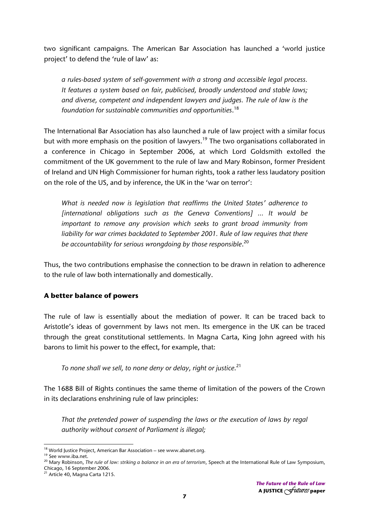two significant campaigns. The American Bar Association has launched a 'world justice project' to defend the 'rule of law' as:

*a rules-based system of self-government with a strong and accessible legal process. It features a system based on fair, publicised, broadly understood and stable laws; and diverse, competent and independent lawyers and judges. The rule of law is the foundation for sustainable communities and opportunities*. 18

The International Bar Association has also launched a rule of law project with a similar focus but with more emphasis on the position of lawyers.<sup>19</sup> The two organisations collaborated in a conference in Chicago in September 2006, at which Lord Goldsmith extolled the commitment of the UK government to the rule of law and Mary Robinson, former President of Ireland and UN High Commissioner for human rights, took a rather less laudatory position on the role of the US, and by inference, the UK in the 'war on terror':

*What is needed now is legislation that reaffirms the United States' adherence to [international obligations such as the Geneva Conventions] ... It would be important to remove any provision which seeks to grant broad immunity from liability for war crimes backdated to September 2001. Rule of law requires that there be accountability for serious wrongdoing by those responsible*. 20

Thus, the two contributions emphasise the connection to be drawn in relation to adherence to the rule of law both internationally and domestically.

### **A better balance of powers**

The rule of law is essentially about the mediation of power. It can be traced back to Aristotle's ideas of government by laws not men. Its emergence in the UK can be traced through the great constitutional settlements. In Magna Carta, King John agreed with his barons to limit his power to the effect, for example, that:

*To none shall we sell, to none deny or delay, right or justice*. 21

The 1688 Bill of Rights continues the same theme of limitation of the powers of the Crown in its declarations enshrining rule of law principles:

*That the pretended power of suspending the laws or the execution of laws by regal authority without consent of Parliament is illegal;* 

<sup>&</sup>lt;sup>18</sup> World Justice Project, American Bar Association - see www.abanet.org.

See www.iba.net.<br>20 Mary Robinson, *The rule of law: striking a balance in an era of terrorism*, Speech at the International Rule of Law Symposium, Chicago, 16 September 2006.

<sup>21</sup> Article 40, Magna Carta 1215.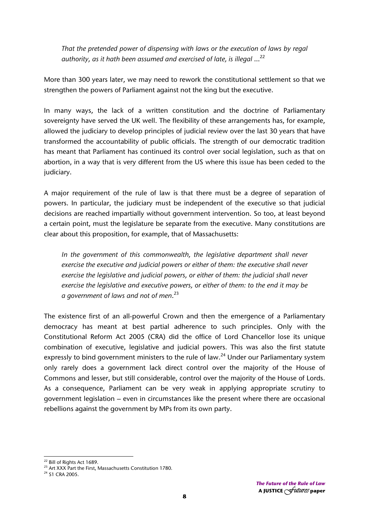*That the pretended power of dispensing with laws or the execution of laws by regal authority, as it hath been assumed and exercised of late, is illegal* …22

More than 300 years later, we may need to rework the constitutional settlement so that we strengthen the powers of Parliament against not the king but the executive.

In many ways, the lack of a written constitution and the doctrine of Parliamentary sovereignty have served the UK well. The flexibility of these arrangements has, for example, allowed the judiciary to develop principles of judicial review over the last 30 years that have transformed the accountability of public officials. The strength of our democratic tradition has meant that Parliament has continued its control over social legislation, such as that on abortion, in a way that is very different from the US where this issue has been ceded to the judiciary.

A major requirement of the rule of law is that there must be a degree of separation of powers. In particular, the judiciary must be independent of the executive so that judicial decisions are reached impartially without government intervention. So too, at least beyond a certain point, must the legislature be separate from the executive. Many constitutions are clear about this proposition, for example, that of Massachusetts:

*In the government of this commonwealth, the legislative department shall never exercise the executive and judicial powers or either of them: the executive shall never exercise the legislative and judicial powers, or either of them: the judicial shall never exercise the legislative and executive powers, or either of them: to the end it may be a government of laws and not of men*. 23

The existence first of an all-powerful Crown and then the emergence of a Parliamentary democracy has meant at best partial adherence to such principles. Only with the Constitutional Reform Act 2005 (CRA) did the office of Lord Chancellor lose its unique combination of executive, legislative and judicial powers. This was also the first statute expressly to bind government ministers to the rule of law.<sup>24</sup> Under our Parliamentary system only rarely does a government lack direct control over the majority of the House of Commons and lesser, but still considerable, control over the majority of the House of Lords. As a consequence, Parliament can be very weak in applying appropriate scrutiny to government legislation – even in circumstances like the present where there are occasional rebellions against the government by MPs from its own party.

<sup>&</sup>lt;sup>22</sup> Bill of Rights Act 1689.<br><sup>23</sup> Art XXX Part the First, Massachusetts Constitution 1780.

<sup>24</sup> S1 CRA 2005.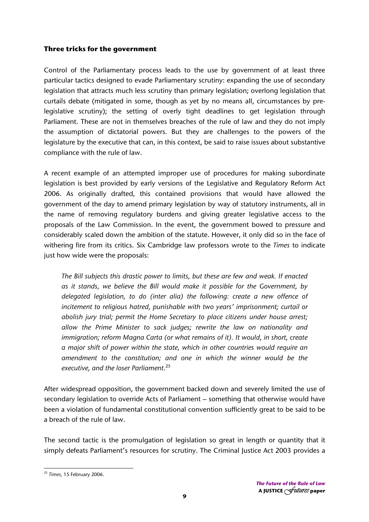### **Three tricks for the government**

Control of the Parliamentary process leads to the use by government of at least three particular tactics designed to evade Parliamentary scrutiny: expanding the use of secondary legislation that attracts much less scrutiny than primary legislation; overlong legislation that curtails debate (mitigated in some, though as yet by no means all, circumstances by prelegislative scrutiny); the setting of overly tight deadlines to get legislation through Parliament. These are not in themselves breaches of the rule of law and they do not imply the assumption of dictatorial powers. But they are challenges to the powers of the legislature by the executive that can, in this context, be said to raise issues about substantive compliance with the rule of law.

A recent example of an attempted improper use of procedures for making subordinate legislation is best provided by early versions of the Legislative and Regulatory Reform Act 2006. As originally drafted, this contained provisions that would have allowed the government of the day to amend primary legislation by way of statutory instruments, all in the name of removing regulatory burdens and giving greater legislative access to the proposals of the Law Commission. In the event, the government bowed to pressure and considerably scaled down the ambition of the statute. However, it only did so in the face of withering fire from its critics. Six Cambridge law professors wrote to the *Times* to indicate just how wide were the proposals:

*The Bill subjects this drastic power to limits, but these are few and weak. If enacted as it stands, we believe the Bill would make it possible for the Government, by delegated legislation, to do (inter alia) the following: create a new offence of incitement to religious hatred, punishable with two years' imprisonment; curtail or abolish jury trial; permit the Home Secretary to place citizens under house arrest; allow the Prime Minister to sack judges; rewrite the law on nationality and immigration; reform Magna Carta (or what remains of it). It would, in short, create a major shift of power within the state, which in other countries would require an amendment to the constitution; and one in which the winner would be the executive, and the loser Parliament*. 25

After widespread opposition, the government backed down and severely limited the use of secondary legislation to override Acts of Parliament – something that otherwise would have been a violation of fundamental constitutional convention sufficiently great to be said to be a breach of the rule of law.

The second tactic is the promulgation of legislation so great in length or quantity that it simply defeats Parliament's resources for scrutiny. The Criminal Justice Act 2003 provides a

 <sup>25</sup> *Times,* 15 February 2006.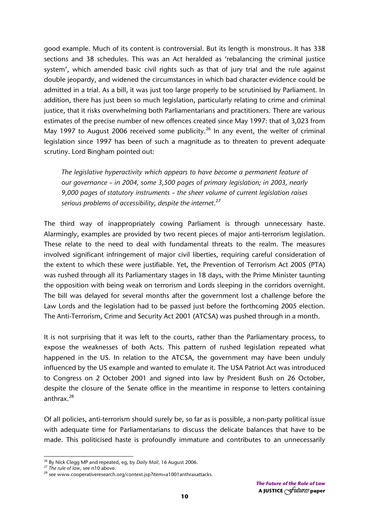good example. Much of its content is controversial. But its length is monstrous. It has 338 sections and 38 schedules. This was an Act heralded as 'rebalancing the criminal justice system', which amended basic civil rights such as that of jury trial and the rule against double jeopardy, and widened the circumstances in which bad character evidence could be admitted in a trial. As a bill, it was just too large properly to be scrutinised by Parliament. In addition, there has just been so much legislation, particularly relating to crime and criminal justice, that it risks overwhelming both Parliamentarians and practitioners. There are various estimates of the precise number of new offences created since May 1997: that of 3,023 from May 1997 to August 2006 received some publicity.<sup>26</sup> In any event, the welter of criminal legislation since 1997 has been of such a magnitude as to threaten to prevent adequate scrutiny. Lord Bingham pointed out:

*The legislative hyperactivity which appears to have become a permanent feature of our governance – in 2004, some 3,500 pages of primary legislation; in 2003, nearly 9,000 pages of statutory instruments – the sheer volume of current legislation raises serious problems of accessibility, despite the internet*. 27

The third way of inappropriately cowing Parliament is through unnecessary haste. Alarmingly, examples are provided by two recent pieces of major anti-terrorism legislation. These relate to the need to deal with fundamental threats to the realm. The measures involved significant infringement of major civil liberties, requiring careful consideration of the extent to which these were justifiable. Yet, the Prevention of Terrorism Act 2005 (PTA) was rushed through all its Parliamentary stages in 18 days, with the Prime Minister taunting the opposition with being weak on terrorism and Lords sleeping in the corridors overnight. The bill was delayed for several months after the government lost a challenge before the Law Lords and the legislation had to be passed just before the forthcoming 2005 election. The Anti-Terrorism, Crime and Security Act 2001 (ATCSA) was pushed through in a month.

It is not surprising that it was left to the courts, rather than the Parliamentary process, to expose the weaknesses of both Acts. This pattern of rushed legislation repeated what happened in the US. In relation to the ATCSA, the government may have been unduly influenced by the US example and wanted to emulate it. The USA Patriot Act was introduced to Congress on 2 October 2001 and signed into law by President Bush on 26 October, despite the closure of the Senate office in the meantime in response to letters containing anthrax.<sup>28</sup>

Of all policies, anti-terrorism should surely be, so far as is possible, a non-party political issue with adequate time for Parliamentarians to discuss the delicate balances that have to be made. This politicised haste is profoundly immature and contributes to an unnecessarily

<sup>&</sup>lt;sup>26</sup> By Nick Clegg MP and repeated, eg, by *Daily Mail*, 16 August 2006.<br><sup>27</sup> *The rule of law*, see n10 above.<br><sup>28</sup> see www.cooperativeresearch.org/context.jsp?item=a1001anthraxattacks.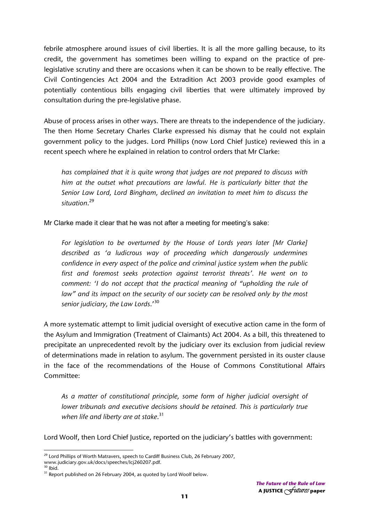febrile atmosphere around issues of civil liberties. It is all the more galling because, to its credit, the government has sometimes been willing to expand on the practice of prelegislative scrutiny and there are occasions when it can be shown to be really effective. The Civil Contingencies Act 2004 and the Extradition Act 2003 provide good examples of potentially contentious bills engaging civil liberties that were ultimately improved by consultation during the pre-legislative phase.

Abuse of process arises in other ways. There are threats to the independence of the judiciary. The then Home Secretary Charles Clarke expressed his dismay that he could not explain government policy to the judges. Lord Phillips (now Lord Chief Justice) reviewed this in a recent speech where he explained in relation to control orders that Mr Clarke:

*has complained that it is quite wrong that judges are not prepared to discuss with him at the outset what precautions are lawful. He is particularly bitter that the Senior Law Lord, Lord Bingham, declined an invitation to meet him to discuss the situation*. 29

Mr Clarke made it clear that he was not after a meeting for meeting's sake:

For legislation to be overturned by the House of Lords years later [Mr Clarke] *described as 'a ludicrous way of proceeding which dangerously undermines confidence in every aspect of the police and criminal justice system when the public first and foremost seeks protection against terrorist threats'. He went on to comment: 'I do not accept that the practical meaning of "upholding the rule of*  law" and its impact on the security of our society can be resolved only by the most *senior judiciary, the Law Lords*.'30

A more systematic attempt to limit judicial oversight of executive action came in the form of the Asylum and Immigration (Treatment of Claimants) Act 2004. As a bill, this threatened to precipitate an unprecedented revolt by the judiciary over its exclusion from judicial review of determinations made in relation to asylum. The government persisted in its ouster clause in the face of the recommendations of the House of Commons Constitutional Affairs Committee:

*As a matter of constitutional principle, some form of higher judicial oversight of lower tribunals and executive decisions should be retained. This is particularly true when life and liberty are at stake*. 31

Lord Woolf, then Lord Chief Justice, reported on the judiciary's battles with government:

 <sup>29</sup> Lord Phillips of Worth Matravers, speech to Cardiff Business Club, 26 February 2007,

www.judiciary.gov.uk/docs/speeches/lcj260207.pdf.<br><sup>30</sup> Ibid.

 $31$  Report published on 26 February 2004, as quoted by Lord Woolf below.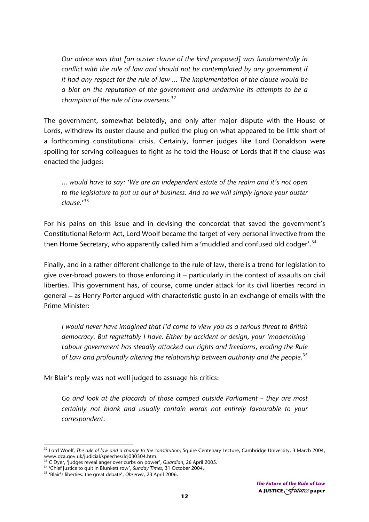*Our advice was that [an ouster clause of the kind proposed] was fundamentally in conflict with the rule of law and should not be contemplated by any government if it had any respect for the rule of law … The implementation of the clause would be a blot on the reputation of the government and undermine its attempts to be a champion of the rule of law overseas*. 32

The government, somewhat belatedly, and only after major dispute with the House of Lords, withdrew its ouster clause and pulled the plug on what appeared to be little short of a forthcoming constitutional crisis. Certainly, former judges like Lord Donaldson were spoiling for serving colleagues to fight as he told the House of Lords that if the clause was enacted the judges:

… *would have to say: 'We are an independent estate of the realm and it's not open to the legislature to put us out of business. And so we will simply ignore your ouster clause*.'<sup>33</sup>

For his pains on this issue and in devising the concordat that saved the government's Constitutional Reform Act, Lord Woolf became the target of very personal invective from the then Home Secretary, who apparently called him a 'muddled and confused old codger'.<sup>34</sup>

Finally, and in a rather different challenge to the rule of law, there is a trend for legislation to give over-broad powers to those enforcing it – particularly in the context of assaults on civil liberties. This government has, of course, come under attack for its civil liberties record in general – as Henry Porter argued with characteristic gusto in an exchange of emails with the Prime Minister:

*I would never have imagined that I'd come to view you as a serious threat to British democracy. But regrettably I have. Either by accident or design, your 'modernising' Labour government has steadily attacked our rights and freedoms, eroding the Rule of Law and profoundly altering the relationship between authority and the people*. 35

Mr Blair's reply was not well judged to assuage his critics:

*Go and look at the placards of those camped outside Parliament – they are most certainly not blank and usually contain words not entirely favourable to your correspondent*.

<sup>32</sup> Lord Woolf, *The rule of law and a change to the constitution*, Squire Centenary Lecture, Cambridge University, 3 March 2004, www.dca.gov.uk/judicial/speeches/lcj030304.htm.<br><sup>33</sup> C Dyer, 'Judges reveal anger over curbs on power', *Guardian*, 26 April 2005.<br><sup>34</sup> 'Chief Justice to quit in Blunkett row', *Sunday Times*, 31 October 2004.<br><sup>35</sup> 'Blair'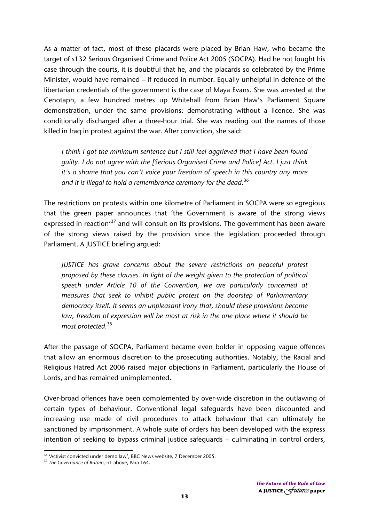As a matter of fact, most of these placards were placed by Brian Haw, who became the target of s132 Serious Organised Crime and Police Act 2005 (SOCPA). Had he not fought his case through the courts, it is doubtful that he, and the placards so celebrated by the Prime Minister, would have remained – if reduced in number. Equally unhelpful in defence of the libertarian credentials of the government is the case of Maya Evans. She was arrested at the Cenotaph, a few hundred metres up Whitehall from Brian Haw's Parliament Square demonstration, under the same provisions: demonstrating without a licence. She was conditionally discharged after a three-hour trial. She was reading out the names of those killed in Iraq in protest against the war. After conviction, she said:

*I think I got the minimum sentence but I still feel aggrieved that I have been found guilty. I do not agree with the [Serious Organised Crime and Police] Act. I just think it's a shame that you can't voice your freedom of speech in this country any more and it is illegal to hold a remembrance ceremony for the dead*. 36

The restrictions on protests within one kilometre of Parliament in SOCPA were so egregious that the green paper announces that 'the Government is aware of the strong views expressed in reaction<sup>37</sup> and will consult on its provisions. The government has been aware of the strong views raised by the provision since the legislation proceeded through Parliament. A JUSTICE briefing argued:

*JUSTICE has grave concerns about the severe restrictions on peaceful protest proposed by these clauses. In light of the weight given to the protection of political speech under Article 10 of the Convention, we are particularly concerned at measures that seek to inhibit public protest on the doorstep of Parliamentary democracy itself. It seems an unpleasant irony that, should these provisions become*  law, freedom of expression will be most at risk in the one place where it should be *most protected.*<sup>38</sup>

After the passage of SOCPA, Parliament became even bolder in opposing vague offences that allow an enormous discretion to the prosecuting authorities. Notably, the Racial and Religious Hatred Act 2006 raised major objections in Parliament, particularly the House of Lords, and has remained unimplemented.

Over-broad offences have been complemented by over-wide discretion in the outlawing of certain types of behaviour. Conventional legal safeguards have been discounted and increasing use made of civil procedures to attack behaviour that can ultimately be sanctioned by imprisonment. A whole suite of orders has been developed with the express intention of seeking to bypass criminal justice safeguards – culminating in control orders,

<sup>&</sup>lt;sup>36</sup> 'Activist convicted under demo law', BBC News website, 7 December 2005.<br><sup>37</sup> The Governance of Britain, n1 above, Para 164.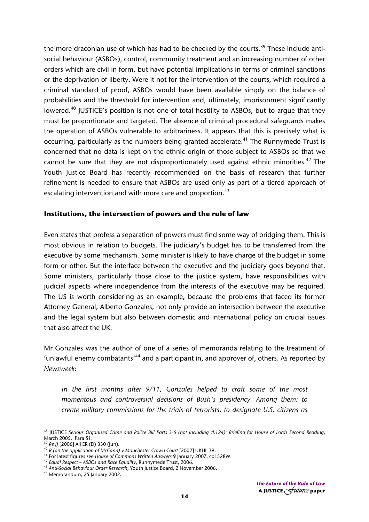the more draconian use of which has had to be checked by the courts.<sup>39</sup> These include antisocial behaviour (ASBOs), control, community treatment and an increasing number of other orders which are civil in form, but have potential implications in terms of criminal sanctions or the deprivation of liberty. Were it not for the intervention of the courts, which required a criminal standard of proof, ASBOs would have been available simply on the balance of probabilities and the threshold for intervention and, ultimately, imprisonment significantly lowered.<sup>40</sup> JUSTICE's position is not one of total hostility to ASBOs, but to argue that they must be proportionate and targeted. The absence of criminal procedural safeguards makes the operation of ASBOs vulnerable to arbitrariness. It appears that this is precisely what is occurring, particularly as the numbers being granted accelerate.<sup>41</sup> The Runnymede Trust is concerned that no data is kept on the ethnic origin of those subject to ASBOs so that we cannot be sure that they are not disproportionately used against ethnic minorities.<sup>42</sup> The Youth Justice Board has recently recommended on the basis of research that further refinement is needed to ensure that ASBOs are used only as part of a tiered approach of escalating intervention and with more care and proportion.<sup>43</sup>

### **Institutions, the intersection of powers and the rule of law**

Even states that profess a separation of powers must find some way of bridging them. This is most obvious in relation to budgets. The judiciary's budget has to be transferred from the executive by some mechanism. Some minister is likely to have charge of the budget in some form or other. But the interface between the executive and the judiciary goes beyond that. Some ministers, particularly those close to the justice system, have responsibilities with judicial aspects where independence from the interests of the executive may be required. The US is worth considering as an example, because the problems that faced its former Attorney General, Alberto Gonzales, not only provide an intersection between the executive and the legal system but also between domestic and international policy on crucial issues that also affect the UK.

Mr Gonzales was the author of one of a series of memoranda relating to the treatment of 'unlawful enemy combatants'<sup>44</sup> and a participant in, and approver of, others. As reported by *Newsweek*:

*In the first months after 9/11, Gonzales helped to craft some of the most momentous and controversial decisions of Bush's presidency. Among them: to create military commissions for the trials of terrorists, to designate U.S. citizens as* 

38 JUSTICE *Serious Organised Crime and Police Bill Parts 3-6 (not including cl.124): Briefing for House of Lords Second Reading*, March 2005, Para 51.<br><sup>39</sup> Re JJ [2006] All ER (D) 330 (Jun).

<sup>&</sup>lt;sup>40</sup> R (on the application of McCann) v Manchester Crown Court [2002] UKHL 39.<br><sup>41</sup> For latest figures see House of Commons Written Answers 9 January 2007, col 528W.<br><sup>42</sup> Equal Respect – ASBOs and Race Equality, Runnymede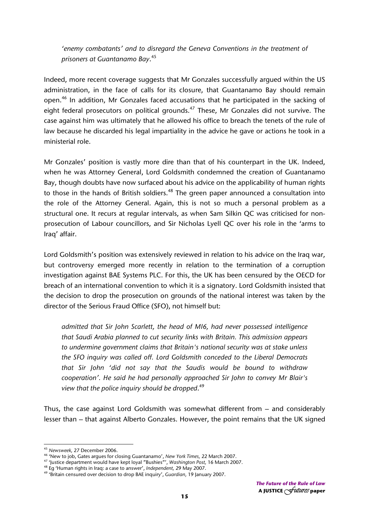*'enemy combatants' and to disregard the Geneva Conventions in the treatment of prisoners at Guantanamo Bay*. 45

Indeed, more recent coverage suggests that Mr Gonzales successfully argued within the US administration, in the face of calls for its closure, that Guantanamo Bay should remain open.<sup>46</sup> In addition, Mr Gonzales faced accusations that he participated in the sacking of eight federal prosecutors on political grounds.<sup>47</sup> These, Mr Gonzales did not survive. The case against him was ultimately that he allowed his office to breach the tenets of the rule of law because he discarded his legal impartiality in the advice he gave or actions he took in a ministerial role.

Mr Gonzales' position is vastly more dire than that of his counterpart in the UK. Indeed, when he was Attorney General, Lord Goldsmith condemned the creation of Guantanamo Bay, though doubts have now surfaced about his advice on the applicability of human rights to those in the hands of British soldiers.<sup>48</sup> The green paper announced a consultation into the role of the Attorney General. Again, this is not so much a personal problem as a structural one. It recurs at regular intervals, as when Sam Silkin QC was criticised for nonprosecution of Labour councillors, and Sir Nicholas Lyell QC over his role in the 'arms to Iraq' affair.

Lord Goldsmith's position was extensively reviewed in relation to his advice on the Iraq war, but controversy emerged more recently in relation to the termination of a corruption investigation against BAE Systems PLC. For this, the UK has been censured by the OECD for breach of an international convention to which it is a signatory. Lord Goldsmith insisted that the decision to drop the prosecution on grounds of the national interest was taken by the director of the Serious Fraud Office (SFO), not himself but:

*admitted that Sir John Scarlett, the head of MI6, had never possessed intelligence that Saudi Arabia planned to cut security links with Britain. This admission appears to undermine government claims that Britain's national security was at stake unless the SFO inquiry was called off. Lord Goldsmith conceded to the Liberal Democrats that Sir John 'did not say that the Saudis would be bound to withdraw cooperation'. He said he had personally approached Sir John to convey Mr Blair's view that the police inquiry should be dropped*. 49

Thus, the case against Lord Goldsmith was somewhat different from – and considerably lesser than – that against Alberto Gonzales. However, the point remains that the UK signed

<sup>&</sup>lt;sup>45</sup> Newsweek, 27 December 2006.

<sup>&</sup>lt;sup>46</sup> 'New to job, Gates argues for closing Guantanamo', *New York Times*, 22 March 2007.<br><sup>47</sup> 'Justice department would have kept loyal "Bushies"', *Washington Post*, 16 March 2007.<br><sup>48</sup> Eg 'Human rights in Iraq: a case t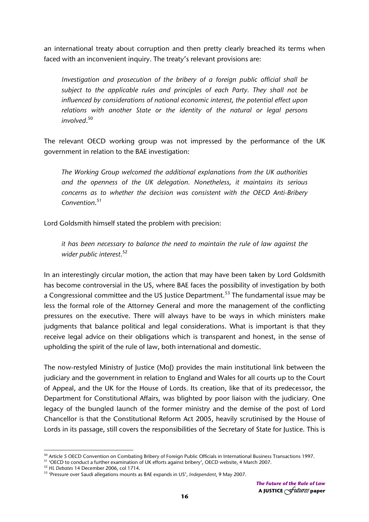an international treaty about corruption and then pretty clearly breached its terms when faced with an inconvenient inquiry. The treaty's relevant provisions are:

*Investigation and prosecution of the bribery of a foreign public official shall be subject to the applicable rules and principles of each Party. They shall not be influenced by considerations of national economic interest, the potential effect upon relations with another State or the identity of the natural or legal persons involved*. 50

The relevant OECD working group was not impressed by the performance of the UK government in relation to the BAE investigation:

*The Working Group welcomed the additional explanations from the UK authorities and the openness of the UK delegation. Nonetheless, it maintains its serious concerns as to whether the decision was consistent with the OECD Anti-Bribery Convention*. 51

Lord Goldsmith himself stated the problem with precision:

*it has been necessary to balance the need to maintain the rule of law against the wider public interest*. 52

In an interestingly circular motion, the action that may have been taken by Lord Goldsmith has become controversial in the US, where BAE faces the possibility of investigation by both a Congressional committee and the US Justice Department.<sup>53</sup> The fundamental issue may be less the formal role of the Attorney General and more the management of the conflicting pressures on the executive. There will always have to be ways in which ministers make judgments that balance political and legal considerations. What is important is that they receive legal advice on their obligations which is transparent and honest, in the sense of upholding the spirit of the rule of law, both international and domestic.

The now-restyled Ministry of Justice (MoJ) provides the main institutional link between the judiciary and the government in relation to England and Wales for all courts up to the Court of Appeal, and the UK for the House of Lords. Its creation, like that of its predecessor, the Department for Constitutional Affairs, was blighted by poor liaison with the judiciary. One legacy of the bungled launch of the former ministry and the demise of the post of Lord Chancellor is that the Constitutional Reform Act 2005, heavily scrutinised by the House of Lords in its passage, still covers the responsibilities of the Secretary of State for Justice. This is

 <sup>50</sup> Article 5 OECD Convention on Combating Bribery of Foreign Public Officials in International Business Transactions 1997.<br><sup>51</sup> 'OECD to conduct a further examination of UK efforts against bribery', OECD website, 4 Marc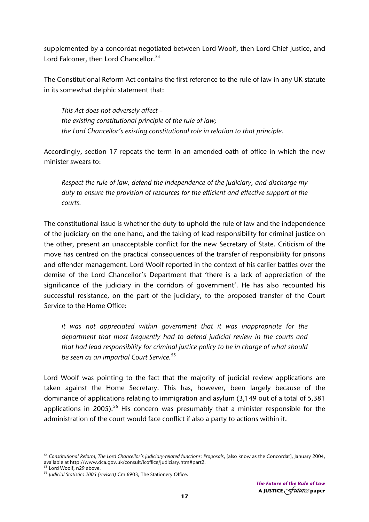supplemented by a concordat negotiated between Lord Woolf, then Lord Chief Justice, and Lord Falconer, then Lord Chancellor.<sup>54</sup>

The Constitutional Reform Act contains the first reference to the rule of law in any UK statute in its somewhat delphic statement that:

*This Act does not adversely affect – the existing constitutional principle of the rule of law; the Lord Chancellor's existing constitutional role in relation to that principle.* 

Accordingly, section 17 repeats the term in an amended oath of office in which the new minister swears to:

*Respect the rule of law, defend the independence of the judiciary, and discharge my duty to ensure the provision of resources for the efficient and effective support of the courts.* 

The constitutional issue is whether the duty to uphold the rule of law and the independence of the judiciary on the one hand, and the taking of lead responsibility for criminal justice on the other, present an unacceptable conflict for the new Secretary of State. Criticism of the move has centred on the practical consequences of the transfer of responsibility for prisons and offender management. Lord Woolf reported in the context of his earlier battles over the demise of the Lord Chancellor's Department that 'there is a lack of appreciation of the significance of the judiciary in the corridors of government'. He has also recounted his successful resistance, on the part of the judiciary, to the proposed transfer of the Court Service to the Home Office:

*it was not appreciated within government that it was inappropriate for the department that most frequently had to defend judicial review in the courts and that had lead responsibility for criminal justice policy to be in charge of what should be seen as an impartial Court Service.*<sup>55</sup>

Lord Woolf was pointing to the fact that the majority of judicial review applications are taken against the Home Secretary. This has, however, been largely because of the dominance of applications relating to immigration and asylum (3,149 out of a total of 5,381 applications in 2005).<sup>56</sup> His concern was presumably that a minister responsible for the administration of the court would face conflict if also a party to actions within it.

 <sup>54</sup> Constitutional Reform, The Lord Chancellor's judiciary-related functions: Proposals, [also know as the Concordat], January 2004, available at http://www.dca.gov.uk/consult/lcoffice/judiciary.htm#part2.<br><sup>55</sup> Lord Woolf, n29 above.<br><sup>56</sup> *Judicial Statistics 2005 (revised)* Cm 6903, The Stationery Office.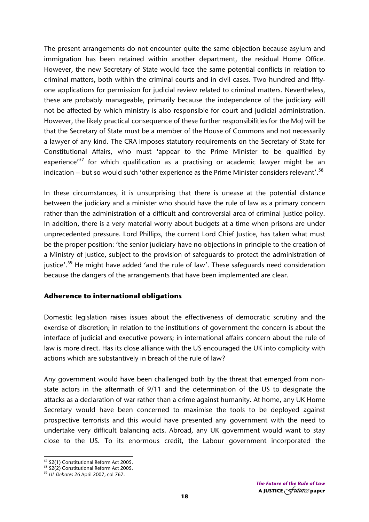The present arrangements do not encounter quite the same objection because asylum and immigration has been retained within another department, the residual Home Office. However, the new Secretary of State would face the same potential conflicts in relation to criminal matters, both within the criminal courts and in civil cases. Two hundred and fiftyone applications for permission for judicial review related to criminal matters. Nevertheless, these are probably manageable, primarily because the independence of the judiciary will not be affected by which ministry is also responsible for court and judicial administration. However, the likely practical consequence of these further responsibilities for the MoJ will be that the Secretary of State must be a member of the House of Commons and not necessarily a lawyer of any kind. The CRA imposes statutory requirements on the Secretary of State for Constitutional Affairs, who must 'appear to the Prime Minister to be qualified by experience'<sup>57</sup> for which qualification as a practising or academic lawyer might be an indication – but so would such 'other experience as the Prime Minister considers relevant'.<sup>58</sup>

In these circumstances, it is unsurprising that there is unease at the potential distance between the judiciary and a minister who should have the rule of law as a primary concern rather than the administration of a difficult and controversial area of criminal justice policy. In addition, there is a very material worry about budgets at a time when prisons are under unprecedented pressure. Lord Phillips, the current Lord Chief Justice, has taken what must be the proper position: 'the senior judiciary have no objections in principle to the creation of a Ministry of Justice, subject to the provision of safeguards to protect the administration of justice'.<sup>59</sup> He might have added 'and the rule of law'. These safeguards need consideration because the dangers of the arrangements that have been implemented are clear.

### **Adherence to international obligations**

Domestic legislation raises issues about the effectiveness of democratic scrutiny and the exercise of discretion; in relation to the institutions of government the concern is about the interface of judicial and executive powers; in international affairs concern about the rule of law is more direct. Has its close alliance with the US encouraged the UK into complicity with actions which are substantively in breach of the rule of law?

Any government would have been challenged both by the threat that emerged from nonstate actors in the aftermath of 9/11 and the determination of the US to designate the attacks as a declaration of war rather than a crime against humanity. At home, any UK Home Secretary would have been concerned to maximise the tools to be deployed against prospective terrorists and this would have presented any government with the need to undertake very difficult balancing acts. Abroad, any UK government would want to stay close to the US. To its enormous credit, the Labour government incorporated the

<sup>&</sup>lt;sup>57</sup> S2(1) Constitutional Reform Act 2005.

<sup>&</sup>lt;sup>58</sup> S2(2) Constitutional Reform Act 2005.<br><sup>59</sup> HL Debates 26 April 2007, col 767.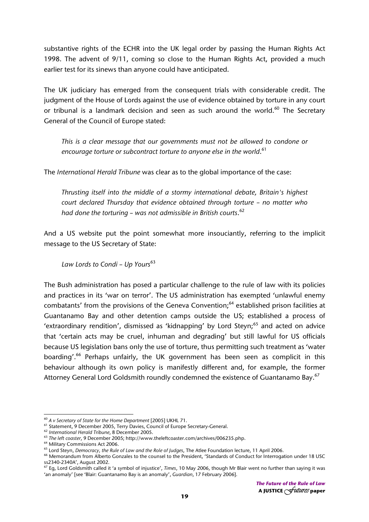substantive rights of the ECHR into the UK legal order by passing the Human Rights Act 1998. The advent of 9/11, coming so close to the Human Rights Act, provided a much earlier test for its sinews than anyone could have anticipated.

The UK judiciary has emerged from the consequent trials with considerable credit. The judgment of the House of Lords against the use of evidence obtained by torture in any court or tribunal is a landmark decision and seen as such around the world.<sup>60</sup> The Secretary General of the Council of Europe stated:

*This is a clear message that our governments must not be allowed to condone or encourage torture or subcontract torture to anyone else in the world*. 61

The *International Herald Tribune* was clear as to the global importance of the case:

*Thrusting itself into the middle of a stormy international debate, Britain's highest court declared Thursday that evidence obtained through torture – no matter who had done the torturing – was not admissible in British courts*. 62

And a US website put the point somewhat more insouciantly, referring to the implicit message to the US Secretary of State:

Law Lords to Condi - Up Yours<sup>63</sup>

The Bush administration has posed a particular challenge to the rule of law with its policies and practices in its 'war on terror'. The US administration has exempted 'unlawful enemy combatants' from the provisions of the Geneva Convention;<sup>64</sup> established prison facilities at Guantanamo Bay and other detention camps outside the US; established a process of 'extraordinary rendition', dismissed as 'kidnapping' by Lord Steyn;<sup>65</sup> and acted on advice that 'certain acts may be cruel, inhuman and degrading' but still lawful for US officials because US legislation bans only the use of torture, thus permitting such treatment as 'water boarding'.<sup>66</sup> Perhaps unfairly, the UK government has been seen as complicit in this behaviour although its own policy is manifestly different and, for example, the former Attorney General Lord Goldsmith roundly condemned the existence of Guantanamo Bay.<sup>67</sup>

<sup>&</sup>lt;sup>60</sup> A v Secretary of State for the Home Department [2005] UKHL 71.<br>
<sup>61</sup> Statement, 9 December 2005, Terry Davies, Council of Europe Secretary-General.<br>
<sup>62</sup> International Herald Tribune, 8 December 2005.<br>
<sup>63</sup> The left

ss2340-2340A', August 2002.

<sup>67</sup> Eg, Lord Goldsmith called it 'a symbol of injustice', *Times*, 10 May 2006, though Mr Blair went no further than saying it was 'an anomaly' [see 'Blair: Guantanamo Bay is an anomaly', *Guardian*, 17 February 2006].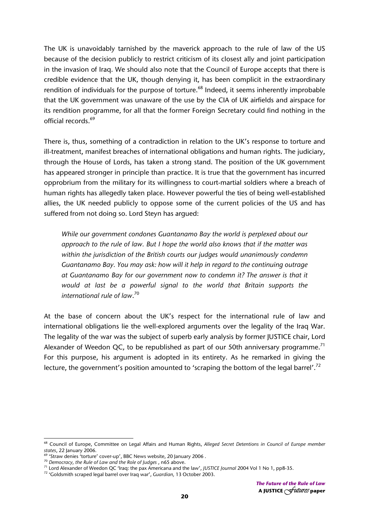The UK is unavoidably tarnished by the maverick approach to the rule of law of the US because of the decision publicly to restrict criticism of its closest ally and joint participation in the invasion of Iraq. We should also note that the Council of Europe accepts that there is credible evidence that the UK, though denying it, has been complicit in the extraordinary rendition of individuals for the purpose of torture.<sup>68</sup> Indeed, it seems inherently improbable that the UK government was unaware of the use by the CIA of UK airfields and airspace for its rendition programme, for all that the former Foreign Secretary could find nothing in the official records.<sup>69</sup>

There is, thus, something of a contradiction in relation to the UK's response to torture and ill-treatment, manifest breaches of international obligations and human rights. The judiciary, through the House of Lords, has taken a strong stand. The position of the UK government has appeared stronger in principle than practice. It is true that the government has incurred opprobrium from the military for its willingness to court-martial soldiers where a breach of human rights has allegedly taken place. However powerful the ties of being well-established allies, the UK needed publicly to oppose some of the current policies of the US and has suffered from not doing so. Lord Steyn has argued:

*While our government condones Guantanamo Bay the world is perplexed about our approach to the rule of law. But I hope the world also knows that if the matter was within the jurisdiction of the British courts our judges would unanimously condemn Guantanamo Bay. You may ask: how will it help in regard to the continuing outrage at Guantanamo Bay for our government now to condemn it? The answer is that it would at last be a powerful signal to the world that Britain supports the international rule of law*. 70

At the base of concern about the UK's respect for the international rule of law and international obligations lie the well-explored arguments over the legality of the Iraq War. The legality of the war was the subject of superb early analysis by former JUSTICE chair, Lord Alexander of Weedon QC, to be republished as part of our 50th anniversary programme.<sup>71</sup> For this purpose, his argument is adopted in its entirety. As he remarked in giving the lecture, the government's position amounted to 'scraping the bottom of the legal barrel'.<sup>72</sup>

<sup>68</sup> Council of Europe, Committee on Legal Affairs and Human Rights, *Alleged Secret Detentions in Council of Europe member states*, 22 January 2006.<br><sup>69</sup> 'Straw denies 'torture' cover-up', BBC News website, 20 January 2006 .<br><sup>70</sup> Democracy, the Rule of Law and the Role of Judges , n65 above.

<sup>&</sup>lt;sup>71</sup> Lord Alexander of Weedon QC 'Iraq: the pax Americana and the law', JUSTICE Journal 2004 Vol 1 No 1, pp8-35.<br><sup>72</sup> 'Goldsmith scraped legal barrel over Iraq war', Guardian, 13 October 2003.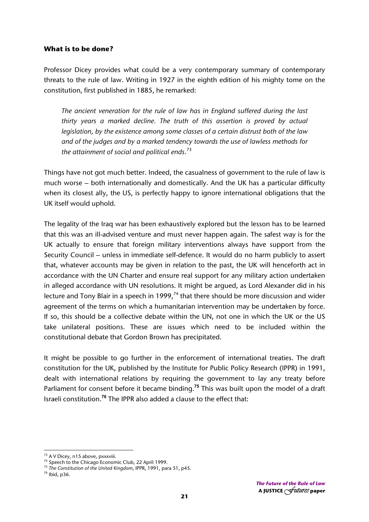### **What is to be done?**

Professor Dicey provides what could be a very contemporary summary of contemporary threats to the rule of law. Writing in 1927 in the eighth edition of his mighty tome on the constitution, first published in 1885, he remarked:

*The ancient veneration for the rule of law has in England suffered during the last thirty years a marked decline. The truth of this assertion is proved by actual legislation, by the existence among some classes of a certain distrust both of the law and of the judges and by a marked tendency towards the use of lawless methods for the attainment of social and political ends*. 73

Things have not got much better. Indeed, the casualness of government to the rule of law is much worse – both internationally and domestically. And the UK has a particular difficulty when its closest ally, the US, is perfectly happy to ignore international obligations that the UK itself would uphold.

The legality of the Iraq war has been exhaustively explored but the lesson has to be learned that this was an ill-advised venture and must never happen again. The safest way is for the UK actually to ensure that foreign military interventions always have support from the Security Council – unless in immediate self-defence. It would do no harm publicly to assert that, whatever accounts may be given in relation to the past, the UK will henceforth act in accordance with the UN Charter and ensure real support for any military action undertaken in alleged accordance with UN resolutions. It might be argued, as Lord Alexander did in his lecture and Tony Blair in a speech in 1999, $<sup>74</sup>$  that there should be more discussion and wider</sup> agreement of the terms on which a humanitarian intervention may be undertaken by force. If so, this should be a collective debate within the UN, not one in which the UK or the US take unilateral positions. These are issues which need to be included within the constitutional debate that Gordon Brown has precipitated.

It might be possible to go further in the enforcement of international treaties. The draft constitution for the UK, published by the Institute for Public Policy Research (IPPR) in 1991, dealt with international relations by requiring the government to lay any treaty before Parliament for consent before it became binding.**<sup>75</sup>** This was built upon the model of a draft Israeli constitution.**<sup>76</sup>** The IPPR also added a clause to the effect that:

 $^{73}$  A V Dicey, n15 above, pxxxviii.<br> $^{74}$  Speech to the Chicago Economic Club, 22 April 1999.

<sup>&</sup>lt;sup>75</sup> The Constitution of the United Kingdom, IPPR, 1991, para 51, p45.<br><sup>76</sup> Ibid. p36.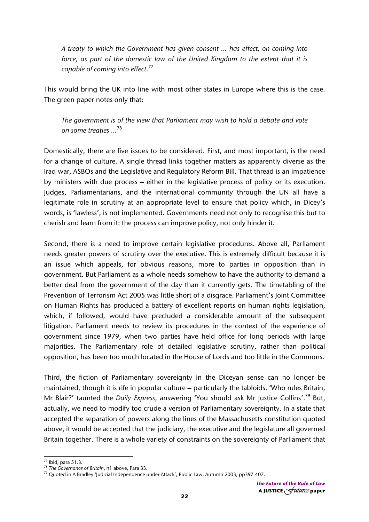*A treaty to which the Government has given consent … has effect, on coming into*  force, as part of the domestic law of the United Kingdom to the extent that it is *capable of coming into effect*. 77

This would bring the UK into line with most other states in Europe where this is the case. The green paper notes only that:

*The government is of the view that Parliament may wish to hold a debate and vote on some treaties …*<sup>78</sup>

Domestically, there are five issues to be considered. First, and most important, is the need for a change of culture. A single thread links together matters as apparently diverse as the Iraq war, ASBOs and the Legislative and Regulatory Reform Bill. That thread is an impatience by ministers with due process – either in the legislative process of policy or its execution. Judges, Parliamentarians, and the international community through the UN all have a legitimate role in scrutiny at an appropriate level to ensure that policy which, in Dicey's words, is 'lawless', is not implemented. Governments need not only to recognise this but to cherish and learn from it: the process can improve policy, not only hinder it.

Second, there is a need to improve certain legislative procedures. Above all, Parliament needs greater powers of scrutiny over the executive. This is extremely difficult because it is an issue which appeals, for obvious reasons, more to parties in opposition than in government. But Parliament as a whole needs somehow to have the authority to demand a better deal from the government of the day than it currently gets. The timetabling of the Prevention of Terrorism Act 2005 was little short of a disgrace. Parliament's Joint Committee on Human Rights has produced a battery of excellent reports on human rights legislation, which, if followed, would have precluded a considerable amount of the subsequent litigation. Parliament needs to review its procedures in the context of the experience of government since 1979, when two parties have held office for long periods with large majorities. The Parliamentary role of detailed legislative scrutiny, rather than political opposition, has been too much located in the House of Lords and too little in the Commons.

Third, the fiction of Parliamentary sovereignty in the Diceyan sense can no longer be maintained, though it is rife in popular culture – particularly the tabloids. 'Who rules Britain, Mr Blair?' taunted the *Daily Express*, answering 'You should ask Mr Justice Collins'.79 But, actually, we need to modify too crude a version of Parliamentary sovereignty. In a state that accepted the separation of powers along the lines of the Massachusetts constitution quoted above, it would be accepted that the judiciary, the executive and the legislature all governed Britain together. There is a whole variety of constraints on the sovereignty of Parliament that

 $77$  Ibid, para 51.3.

<sup>&</sup>lt;sup>78</sup> The Governance of Britain, n1 above, Para 33.<br><sup>79</sup> Quoted in A Bradley 'Judicial Independence under Attack', Public Law, Autumn 2003, pp397-407.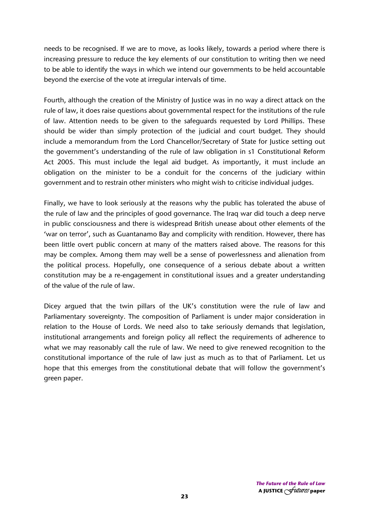needs to be recognised. If we are to move, as looks likely, towards a period where there is increasing pressure to reduce the key elements of our constitution to writing then we need to be able to identify the ways in which we intend our governments to be held accountable beyond the exercise of the vote at irregular intervals of time.

Fourth, although the creation of the Ministry of Justice was in no way a direct attack on the rule of law, it does raise questions about governmental respect for the institutions of the rule of law. Attention needs to be given to the safeguards requested by Lord Phillips. These should be wider than simply protection of the judicial and court budget. They should include a memorandum from the Lord Chancellor/Secretary of State for Justice setting out the government's understanding of the rule of law obligation in s1 Constitutional Reform Act 2005. This must include the legal aid budget. As importantly, it must include an obligation on the minister to be a conduit for the concerns of the judiciary within government and to restrain other ministers who might wish to criticise individual judges.

Finally, we have to look seriously at the reasons why the public has tolerated the abuse of the rule of law and the principles of good governance. The Iraq war did touch a deep nerve in public consciousness and there is widespread British unease about other elements of the 'war on terror', such as Guantanamo Bay and complicity with rendition. However, there has been little overt public concern at many of the matters raised above. The reasons for this may be complex. Among them may well be a sense of powerlessness and alienation from the political process. Hopefully, one consequence of a serious debate about a written constitution may be a re-engagement in constitutional issues and a greater understanding of the value of the rule of law.

Dicey argued that the twin pillars of the UK's constitution were the rule of law and Parliamentary sovereignty. The composition of Parliament is under major consideration in relation to the House of Lords. We need also to take seriously demands that legislation, institutional arrangements and foreign policy all reflect the requirements of adherence to what we may reasonably call the rule of law. We need to give renewed recognition to the constitutional importance of the rule of law just as much as to that of Parliament. Let us hope that this emerges from the constitutional debate that will follow the government's green paper.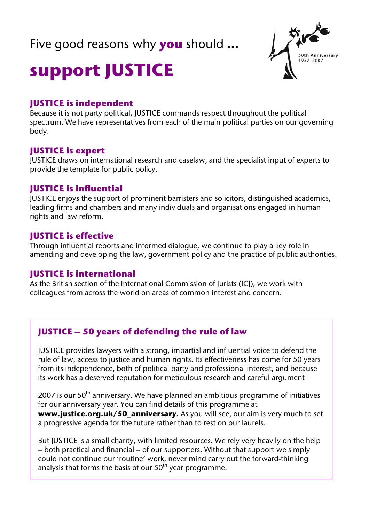### Five good reasons why **you** should **…**



## **support JUSTICE**

### **JUSTICE is independent**

Because it is not party political, JUSTICE commands respect throughout the political spectrum. We have representatives from each of the main political parties on our governing body.

### **JUSTICE is expert**

JUSTICE draws on international research and caselaw, and the specialist input of experts to provide the template for public policy.

### **JUSTICE is influential**

JUSTICE enjoys the support of prominent barristers and solicitors, distinguished academics, leading firms and chambers and many individuals and organisations engaged in human rights and law reform.

### **JUSTICE is effective**

Through influential reports and informed dialogue, we continue to play a key role in amending and developing the law, government policy and the practice of public authorities.

### **JUSTICE is international**

As the British section of the International Commission of Jurists (ICJ), we work with colleagues from across the world on areas of common interest and concern.

### **JUSTICE – 50 years of defending the rule of law**

JUSTICE provides lawyers with a strong, impartial and influential voice to defend the rule of law, access to justice and human rights. Its effectiveness has come for 50 years from its independence, both of political party and professional interest, and because its work has a deserved reputation for meticulous research and careful argument

2007 is our  $50<sup>th</sup>$  anniversary. We have planned an ambitious programme of initiatives for our anniversary year. You can find details of this programme at **www.justice.org.uk/50\_anniversary.** As you will see, our aim is very much to set a progressive agenda for the future rather than to rest on our laurels.

But JUSTICE is a small charity, with limited resources. We rely very heavily on the help – both practical and financial – of our supporters. Without that support we simply could not continue our 'routine' work, never mind carry out the forward-thinking analysis that forms the basis of our  $50<sup>th</sup>$  year programme.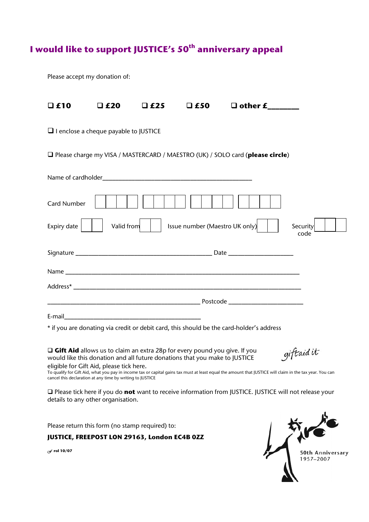### **I would like to support JUSTICE's 50th anniversary appeal**

Please accept my donation of:

| $\Box$ £10          | $\Box$ £20                                   | $\Box$ £25 | $\square$ £50                  | $\Box$ other $\boldsymbol{f_{\_}}$                                                       |                  |  |
|---------------------|----------------------------------------------|------------|--------------------------------|------------------------------------------------------------------------------------------|------------------|--|
|                     | $\Box$ I enclose a cheque payable to JUSTICE |            |                                |                                                                                          |                  |  |
|                     |                                              |            |                                | □ Please charge my VISA / MASTERCARD / MAESTRO (UK) / SOLO card (please circle)          |                  |  |
|                     |                                              |            |                                |                                                                                          |                  |  |
| <b>Card Number</b>  |                                              |            |                                |                                                                                          |                  |  |
| Expiry date $\vert$ | Valid from                                   |            | Issue number (Maestro UK only) |                                                                                          | Security<br>code |  |
|                     |                                              |            |                                |                                                                                          |                  |  |
|                     |                                              |            |                                |                                                                                          |                  |  |
|                     |                                              |            |                                |                                                                                          |                  |  |
|                     |                                              |            |                                |                                                                                          |                  |  |
|                     |                                              |            |                                |                                                                                          |                  |  |
|                     |                                              |            |                                | * if you are donating via credit or debit card, this should be the card-holder's address |                  |  |

□ Gift Aid allows us to claim an extra 28p for every pound you give. If you would like this donation and all future donations that you make to JUSTICE

giftaid it

**eligible for Gift Aid, please tick here.**<br>To qualify for Gift Aid, what you pay in income tax or capital gains tax must at least equal the amount that JUSTICE will claim in the tax year. You can cancel this declaration at any time by writing to JUSTICE

 Please tick here if you do **not** want to receive information from JUSTICE. JUSTICE will not release your details to any other organisation.

Please return this form (no stamp required) to:

**JUSTICE, FREEPOST LON 29163, London EC4B 0ZZ** 

*F* **rol 10/07**